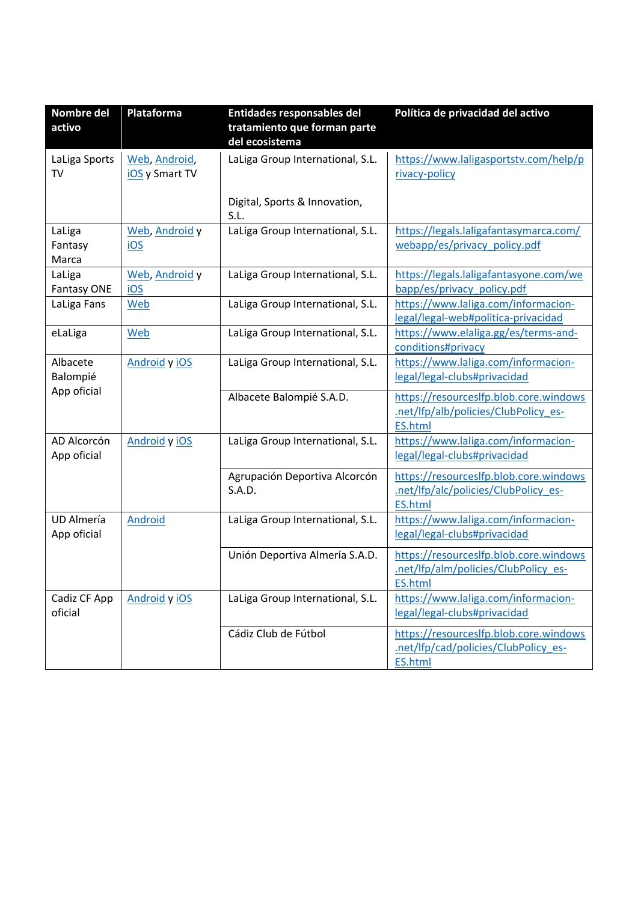| Nombre del         | Plataforma     | Entidades responsables del            | Política de privacidad del activo                                   |
|--------------------|----------------|---------------------------------------|---------------------------------------------------------------------|
| activo             |                | tratamiento que forman parte          |                                                                     |
|                    |                | del ecosistema                        |                                                                     |
| LaLiga Sports      | Web, Android,  | LaLiga Group International, S.L.      | https://www.laligasportstv.com/help/p                               |
| TV                 | iOS y Smart TV |                                       | rivacy-policy                                                       |
|                    |                |                                       |                                                                     |
|                    |                | Digital, Sports & Innovation,<br>S.L. |                                                                     |
| LaLiga             | Web, Android y | LaLiga Group International, S.L.      | https://legals.laligafantasymarca.com/                              |
| Fantasy            | <u>iOS</u>     |                                       | webapp/es/privacy policy.pdf                                        |
| Marca              |                |                                       |                                                                     |
| LaLiga             | Web, Android y | LaLiga Group International, S.L.      | https://legals.laligafantasyone.com/we                              |
| <b>Fantasy ONE</b> | IOS            |                                       | bapp/es/privacy policy.pdf                                          |
| LaLiga Fans        | <b>Web</b>     | LaLiga Group International, S.L.      | https://www.laliga.com/informacion-                                 |
|                    |                |                                       | legal/legal-web#politica-privacidad                                 |
| eLaLiga            | Web            | LaLiga Group International, S.L.      | https://www.elaliga.gg/es/terms-and-                                |
|                    |                |                                       | conditions#privacy                                                  |
| Albacete           | Android y iOS  | LaLiga Group International, S.L.      | https://www.laliga.com/informacion-                                 |
| Balompié           |                |                                       | legal/legal-clubs#privacidad                                        |
| App oficial        |                | Albacete Balompié S.A.D.              | https://resourceslfp.blob.core.windows                              |
|                    |                |                                       | .net/lfp/alb/policies/ClubPolicy es-                                |
|                    |                |                                       | <b>ES.html</b>                                                      |
| AD Alcorcón        | Android y iOS  | LaLiga Group International, S.L.      | https://www.laliga.com/informacion-                                 |
| App oficial        |                |                                       | legal/legal-clubs#privacidad                                        |
|                    |                | Agrupación Deportiva Alcorcón         | https://resourceslfp.blob.core.windows                              |
|                    |                | S.A.D.                                | net/Ifp/alc/policies/ClubPolicy es-                                 |
|                    |                |                                       | <b>ES.html</b>                                                      |
| UD Almería         | <b>Android</b> | LaLiga Group International, S.L.      | https://www.laliga.com/informacion-                                 |
| App oficial        |                |                                       | legal/legal-clubs#privacidad                                        |
|                    |                |                                       |                                                                     |
|                    |                | Unión Deportiva Almería S.A.D.        | https://resourceslfp.blob.core.windows                              |
|                    |                |                                       | .net/Ifp/alm/policies/ClubPolicy_es-                                |
|                    |                |                                       | ES.html                                                             |
| Cadiz CF App       | Android y iOS  | LaLiga Group International, S.L.      | https://www.laliga.com/informacion-<br>legal/legal-clubs#privacidad |
| oficial            |                |                                       |                                                                     |
|                    |                | Cádiz Club de Fútbol                  | https://resourceslfp.blob.core.windows                              |
|                    |                |                                       | .net/lfp/cad/policies/ClubPolicy es-                                |
|                    |                |                                       | <b>ES.html</b>                                                      |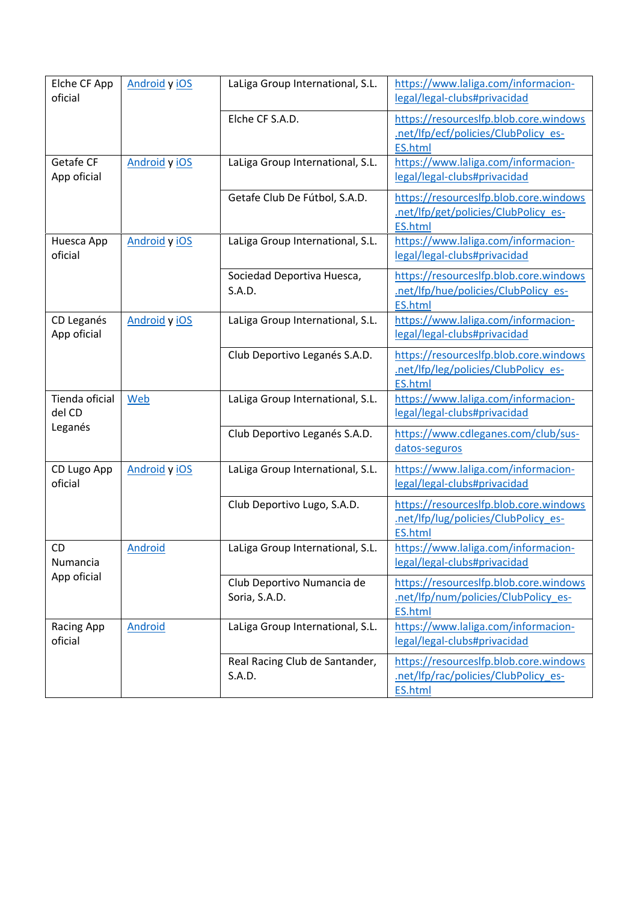| Elche CF App<br>oficial              | Android y iOS  | LaLiga Group International, S.L.            | https://www.laliga.com/informacion-<br>legal/legal-clubs#privacidad                              |
|--------------------------------------|----------------|---------------------------------------------|--------------------------------------------------------------------------------------------------|
|                                      |                | Elche CF S.A.D.                             | https://resourceslfp.blob.core.windows<br>net/Ifp/ecf/policies/ClubPolicy es-<br><b>ES.html</b>  |
| Getafe CF<br>App oficial             | Android y iOS  | LaLiga Group International, S.L.            | https://www.laliga.com/informacion-<br>legal/legal-clubs#privacidad                              |
|                                      |                | Getafe Club De Fútbol, S.A.D.               | https://resourceslfp.blob.core.windows<br>net/Ifp/get/policies/ClubPolicy es-<br><b>ES.html</b>  |
| Huesca App<br>oficial                | Android y iOS  | LaLiga Group International, S.L.            | https://www.laliga.com/informacion-<br>legal/legal-clubs#privacidad                              |
|                                      |                | Sociedad Deportiva Huesca,<br>S.A.D.        | https://resourceslfp.blob.core.windows<br>net/Ifp/hue/policies/ClubPolicy es-<br><b>ES.html</b>  |
| CD Leganés<br>App oficial            | Android y iOS  | LaLiga Group International, S.L.            | https://www.laliga.com/informacion-<br>legal/legal-clubs#privacidad                              |
|                                      |                | Club Deportivo Leganés S.A.D.               | https://resourceslfp.blob.core.windows<br>.net/lfp/leg/policies/ClubPolicy es-<br><b>ES.html</b> |
| Tienda oficial<br>del CD             | Web            | LaLiga Group International, S.L.            | https://www.laliga.com/informacion-<br>legal/legal-clubs#privacidad                              |
| Leganés                              |                | Club Deportivo Leganés S.A.D.               | https://www.cdleganes.com/club/sus-<br>datos-seguros                                             |
| CD Lugo App<br>oficial               | Android y iOS  | LaLiga Group International, S.L.            | https://www.laliga.com/informacion-<br>legal/legal-clubs#privacidad                              |
|                                      |                | Club Deportivo Lugo, S.A.D.                 | https://resourceslfp.blob.core.windows<br>net/Ifp/lug/policies/ClubPolicy es-<br><b>ES.html</b>  |
| <b>CD</b><br>Numancia<br>App oficial | Android        | LaLiga Group International, S.L.            | https://www.laliga.com/informacion-<br>legal/legal-clubs#privacidad                              |
|                                      |                | Club Deportivo Numancia de<br>Soria, S.A.D. | https://resourceslfp.blob.core.windows<br>net/Ifp/num/policies/ClubPolicy es-<br><b>ES.html</b>  |
| Racing App<br>oficial                | <b>Android</b> | LaLiga Group International, S.L.            | https://www.laliga.com/informacion-<br>legal/legal-clubs#privacidad                              |
|                                      |                | Real Racing Club de Santander,<br>S.A.D.    | https://resourceslfp.blob.core.windows<br>.net/Ifp/rac/policies/ClubPolicy es-<br><b>ES.html</b> |